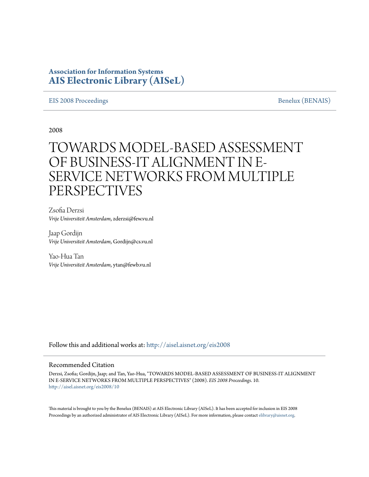# **Association for Information Systems [AIS Electronic Library \(AISeL\)](http://aisel.aisnet.org?utm_source=aisel.aisnet.org%2Feis2008%2F10&utm_medium=PDF&utm_campaign=PDFCoverPages)**

#### [EIS 2008 Proceedings](http://aisel.aisnet.org/eis2008?utm_source=aisel.aisnet.org%2Feis2008%2F10&utm_medium=PDF&utm_campaign=PDFCoverPages) and the set of the set of the set of the [Benelux \(BENAIS\)](http://aisel.aisnet.org/benais?utm_source=aisel.aisnet.org%2Feis2008%2F10&utm_medium=PDF&utm_campaign=PDFCoverPages) Benelux (BENAIS)

2008

# TOWARDS MODEL-BASED ASSESSMENT OF BUSINESS-IT ALIGNMENT IN E-SERVICE NETWORKS FROM MULTIPLE PERSPECTIVES

Zsofia Derzsi *Vrije Universiteit Amsterdam*, zderzsi@few.vu.nl

Jaap Gordijn *Vrije Universiteit Amsterdam*, Gordijn@cs.vu.nl

Yao-Hua Tan *Vrije Universiteit Amsterdam*, ytan@fewb.vu.nl

Follow this and additional works at: [http://aisel.aisnet.org/eis2008](http://aisel.aisnet.org/eis2008?utm_source=aisel.aisnet.org%2Feis2008%2F10&utm_medium=PDF&utm_campaign=PDFCoverPages)

#### Recommended Citation

Derzsi, Zsofia; Gordijn, Jaap; and Tan, Yao-Hua, "TOWARDS MODEL-BASED ASSESSMENT OF BUSINESS-IT ALIGNMENT IN E-SERVICE NETWORKS FROM MULTIPLE PERSPECTIVES" (2008). *EIS 2008 Proceedings*. 10. [http://aisel.aisnet.org/eis2008/10](http://aisel.aisnet.org/eis2008/10?utm_source=aisel.aisnet.org%2Feis2008%2F10&utm_medium=PDF&utm_campaign=PDFCoverPages)

This material is brought to you by the Benelux (BENAIS) at AIS Electronic Library (AISeL). It has been accepted for inclusion in EIS 2008 Proceedings by an authorized administrator of AIS Electronic Library (AISeL). For more information, please contact [elibrary@aisnet.org](mailto:elibrary@aisnet.org%3E).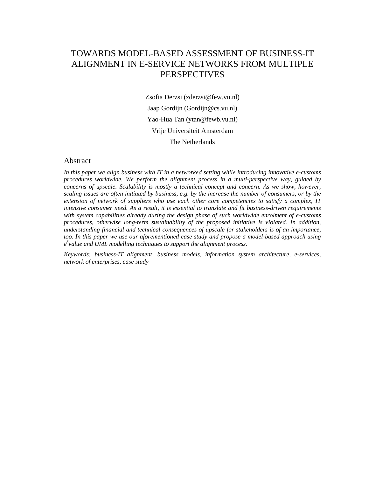# TOWARDS MODEL-BASED ASSESSMENT OF BUSINESS-IT ALIGNMENT IN E-SERVICE NETWORKS FROM MULTIPLE **PERSPECTIVES**

Zsofia Derzsi (zderzsi@few.vu.nl) Jaap Gordijn (Gordijn@cs.vu.nl) Yao-Hua Tan (ytan@fewb.vu.nl) Vrije Universiteit Amsterdam The Netherlands

#### Abstract

*In this paper we align business with IT in a networked setting while introducing innovative e-customs procedures worldwide. We perform the alignment process in a multi-perspective way, guided by concerns of upscale. Scalability is mostly a technical concept and concern. As we show, however, scaling issues are often initiated by business, e.g. by the increase the number of consumers, or by the extension of network of suppliers who use each other core competencies to satisfy a complex, IT intensive consumer need. As a result, it is essential to translate and fit business-driven requirements with system capabilities already during the design phase of such worldwide enrolment of e-customs procedures, otherwise long-term sustainability of the proposed initiative is violated. In addition, understanding financial and technical consequences of upscale for stakeholders is of an importance, too. In this paper we use our aforementioned case study and propose a model-based approach using e 3 value and UML modelling techniques to support the alignment process.* 

*Keywords: business-IT alignment, business models, information system architecture, e-services, network of enterprises, case study*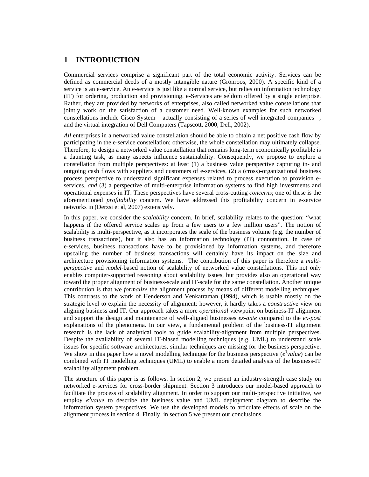### **1 INTRODUCTION**

Commercial services comprise a significant part of the total economic activity. Services can be defined as commercial deeds of a mostly intangible nature (Grönroos, 2000). A specific kind of a service is an e-service. An e-service is just like a normal service, but relies on information technology (IT) for ordering, production and provisioning. e-Services are seldom offered by a single enterprise. Rather, they are provided by networks of enterprises, also called networked value constellations that jointly work on the satisfaction of a customer need. Well-known examples for such networked constellations include Cisco System – actually consisting of a series of well integrated companies –, and the virtual integration of Dell Computers (Tapscott, 2000, Dell, 2002).

*All* enterprises in a networked value constellation should be able to obtain a net positive cash flow by participating in the e-service constellation; otherwise, the whole constellation may ultimately collapse. Therefore, to design a networked value constellation that remains long-term economically profitable is a daunting task, as many aspects influence sustainability. Consequently, we propose to explore a constellation from multiple perspectives: at least (1) a business value perspective capturing in- and outgoing cash flows with suppliers and customers of e-services, (2) a (cross)-organizational business process perspective to understand significant expenses related to process execution to provision eservices, *and* (3) a perspective of multi-enterprise information systems to find high investments and operational expenses in IT. These perspectives have several cross-cutting *concerns*; one of these is the aforementioned *profitability* concern. We have addressed this profitability concern in e-service networks in (Derzsi et al, 2007) extensively.

In this paper, we consider the *scalability* concern. In brief, scalability relates to the question: "what happens if the offered service scales up from a few users to a few million users". The notion of scalability is multi-perspective, as it incorporates the scale of the business volume (e.g. the number of business transactions), but it also has an information technology (IT) connotation. In case of e-services, business transactions have to be provisioned by information systems, and therefore upscaling the number of business transactions will certainly have its impact on the size and architecture provisioning information systems. The contribution of this paper is therefore a *multiperspective* and *model*-based notion of scalability of networked value constellations. This not only enables computer-supported reasoning about scalability issues, but provides also an operational way toward the proper alignment of business-scale and IT-scale for the same constellation. Another unique contribution is that we *formalize* the alignment process by means of different modelling techniques. This contrasts to the work of Henderson and Venkatraman (1994), which is usable mostly on the strategic level to explain the necessity of alignment; however, it hardly takes a *constructiv*e view on aligning business and IT. Our approach takes a more *operational* viewpoint on business-IT alignment and support the design and maintenance of well-aligned businesses *ex-ante* compared to the *ex-post* explanations of the phenomena. In our view, a fundamental problem of the business-IT alignment research is the lack of analytical tools to guide scalability-alignment from multiple perspectives. Despite the availability of several IT-biased modelling techniques (e.g. UML) to understand scale issues for specific software architectures, similar techniques are missing for the business perspective. We show in this paper how a novel modelling technique for the business perspective  $(e^3$ value) can be combined with IT modelling techniques (UML) to enable a more detailed analysis of the business-IT scalability alignment problem.

The structure of this paper is as follows. In section 2, we present an industry-strength case study on networked e-services for cross-border shipment. Section 3 introduces our model-based approach to facilitate the process of scalability alignment. In order to support our multi-perspective initiative, we employ  $e^3$  *value* to describe the business value and UML deployment diagram to describe the information system perspectives. We use the developed models to articulate effects of scale on the alignment process in section 4. Finally, in section 5 we present our conclusions.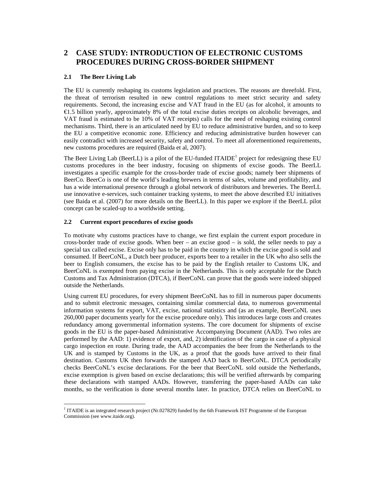# **2 CASE STUDY: INTRODUCTION OF ELECTRONIC CUSTOMS PROCEDURES DURING CROSS-BORDER SHIPMENT**

#### **2.1 The Beer Living Lab**

The EU is currently reshaping its customs legislation and practices. The reasons are threefold. First, the threat of terrorism resulted in new control regulations to meet strict security and safety requirements. Second, the increasing excise and VAT fraud in the EU (as for alcohol, it amounts to €1.5 billion yearly, approximately 8% of the total excise duties receipts on alcoholic beverages, and VAT fraud is estimated to be 10% of VAT receipts) calls for the need of reshaping existing control mechanisms. Third, there is an articulated need by EU to reduce administrative burden, and so to keep the EU a competitive economic zone. Efficiency and reducing administrative burden however can easily contradict with increased security, safety and control. To meet all aforementioned requirements, new customs procedures are required (Baida et al, 2007).

The Beer Living Lab (BeerLL) is a pilot of the EU-funded ITAIDE<sup>1</sup> project for redesigning these EU customs procedures in the beer industry, focusing on shipments of excise goods. The BeerLL investigates a specific example for the cross-border trade of excise goods; namely beer shipments of BeerCo. BeerCo is one of the world's leading brewers in terms of sales, volume and profitability, and has a wide international presence through a global network of distributors and breweries. The BeerLL use innovative e-services, such container tracking systems, to meet the above described EU initiatives (see Baida et al. (2007) for more details on the BeerLL). In this paper we explore if the BeerLL pilot concept can be scaled-up to a worldwide setting.

#### **2.2 Current export procedures of excise goods**

To motivate why customs practices have to change, we first explain the current export procedure in cross-border trade of excise goods. When beer – an excise good – is sold, the seller needs to pay a special tax called excise. Excise only has to be paid in the country in which the excise good is sold and consumed. If BeerCoNL, a Dutch beer producer, exports beer to a retailer in the UK who also sells the beer to English consumers, the excise has to be paid by the English retailer to Customs UK, and BeerCoNL is exempted from paying excise in the Netherlands. This is only acceptable for the Dutch Customs and Tax Administration (DTCA), if BeerCoNL can prove that the goods were indeed shipped outside the Netherlands.

Using current EU procedures, for every shipment BeerCoNL has to fill in numerous paper documents and to submit electronic messages, containing similar commercial data, to numerous governmental information systems for export, VAT, excise, national statistics and (as an example, BeerCoNL uses 260,000 paper documents yearly for the excise procedure only). This introduces large costs and creates redundancy among governmental information systems. The core document for shipments of excise goods in the EU is the paper-based Administrative Accompanying Document (AAD). Two roles are performed by the AAD: 1) evidence of export, and, 2) identification of the cargo in case of a physical cargo inspection en route. During trade, the AAD accompanies the beer from the Netherlands to the UK and is stamped by Customs in the UK, as a proof that the goods have arrived to their final destination. Customs UK then forwards the stamped AAD back to BeerCoNL. DTCA periodically checks BeerCoNL's excise declarations. For the beer that BeerCoNL sold outside the Netherlands, excise exemption is given based on excise declarations; this will be verified afterwards by comparing these declarations with stamped AADs. However, transferring the paper-based AADs can take months, so the verification is done several months later. In practice, DTCA relies on BeerCoNL to

<sup>&</sup>lt;sup>1</sup> ITAIDE is an integrated research project (Nr.027829) funded by the 6th Framework IST Programme of the European Commission (see www.itaide.org).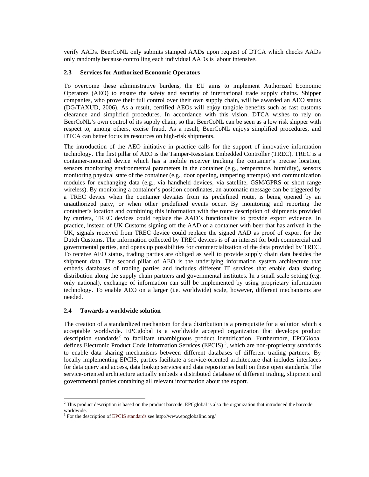verify AADs. BeerCoNL only submits stamped AADs upon request of DTCA which checks AADs only randomly because controlling each individual AADs is labour intensive.

#### **2.3 Services for Authorized Economic Operators**

To overcome these administrative burdens, the EU aims to implement Authorized Economic Operators (AEO) to ensure the safety and security of international trade supply chains. Shipper companies, who prove their full control over their own supply chain, will be awarded an AEO status (DG/TAXUD, 2006). As a result, certified AEOs will enjoy tangible benefits such as fast customs clearance and simplified procedures. In accordance with this vision, DTCA wishes to rely on BeerCoNL's own control of its supply chain, so that BeerCoNL can be seen as a low risk shipper with respect to, among others, excise fraud. As a result, BeerCoNL enjoys simplified procedures, and DTCA can better focus its resources on high-risk shipments.

The introduction of the AEO initiative in practice calls for the support of innovative information technology. The first pillar of AEO is the Tamper-Resistant Embedded Controller (TREC). TREC is a container-mounted device which has a mobile receiver tracking the container's precise location; sensors monitoring environmental parameters in the container (e.g., temperature, humidity), sensors monitoring physical state of the container (e.g., door opening, tampering attempts) and communication modules for exchanging data (e.g., via handheld devices, via satellite, GSM/GPRS or short range wireless). By monitoring a container's position coordinates, an automatic message can be triggered by a TREC device when the container deviates from its predefined route, is being opened by an unauthorized party, or when other predefined events occur. By monitoring and reporting the container's location and combining this information with the route description of shipments provided by carriers, TREC devices could replace the AAD's functionality to provide export evidence. In practice, instead of UK Customs signing off the AAD of a container with beer that has arrived in the UK, signals received from TREC device could replace the signed AAD as proof of export for the Dutch Customs. The information collected by TREC devices is of an interest for both commercial and governmental parties, and opens up possibilities for commercialization of the data provided by TREC. To receive AEO status, trading parties are obliged as well to provide supply chain data besides the shipment data. The second pillar of AEO is the underlying information system architecture that embeds databases of trading parties and includes different IT services that enable data sharing distribution along the supply chain partners and governmental institutes. In a small scale setting (e.g. only national), exchange of information can still be implemented by using proprietary information technology. To enable AEO on a larger (i.e. worldwide) scale, however, different mechanisms are needed.

#### **2.4 Towards a worldwide solution**

The creation of a standardized mechanism for data distribution is a prerequisite for a solution which s acceptable worldwide. EPCglobal is a worldwide accepted organization that develops product description standards<sup>2</sup> to facilitate unambiguous product identification. Furthermore, EPCGlobal defines Electronic Product Code Information Services (EPCIS)<sup>3</sup>, which are non-proprietary standards to enable data sharing mechanisms between different databases of different trading partners. By locally implementing EPCIS, parties facilitate a service-oriented architecture that includes interfaces for data query and access, data lookup services and data repositories built on these open standards. The service-oriented architecture actually embeds a distributed database of different trading, shipment and governmental parties containing all relevant information about the export.

<sup>&</sup>lt;sup>2</sup> This product description is based on the product barcode. EPCglobal is also the organization that introduced the barcode worldwide.

<sup>&</sup>lt;sup>3</sup> For the description of EPCIS standards see http://www.epcglobalinc.org/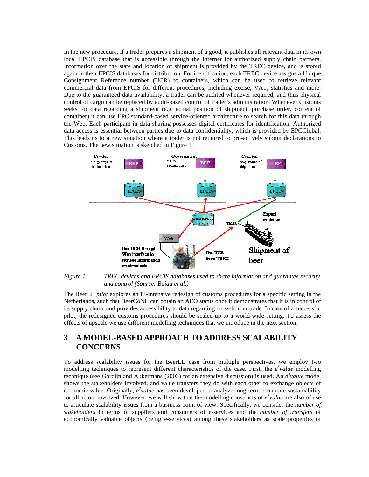In the new procedure, if a trader prepares a shipment of a good, it publishes all relevant data in its own local EPCIS database that is accessible through the Internet for authorized supply chain partners. Information over the state and location of shipment is provided by the TREC device, and is stored again in their EPCIS databases for distribution. For identification, each TREC device assigns a Unique Consignment Reference number (UCR) to containers, which can be used to retrieve relevant commercial data from EPCIS for different procedures, including excise, VAT, statistics and more. Due to the guaranteed data availability, a trader can be audited whenever required; and thus physical control of cargo can be replaced by audit-based control of trader's administration. Whenever Customs seeks for data regarding a shipment (e.g. actual position of shipment, purchase order, content of container) it can use EPC standard-based service-oriented architecture to search for this data through the Web. Each participant in data sharing possesses digital certificates for identification. Authorized data access is essential between parties due to data confidentiality, which is provided by EPCGlobal. This leads us to a new situation where a trader is not required to pro-actively submit declarations to Customs. The new situation is sketched in Figure 1.



*Figure 1. TREC devices and EPCIS databases used to share information and guarantee security and control (Source: Baida et al.)* 

The BeerLL *pilot* explores an IT-intensive redesign of customs procedures for a specific setting in the Netherlands, such that BeerCoNL can obtain an AEO status once it demonstrates that it is in control of its supply chain, and provides accessibility to data regarding cross-border trade. In case of a successful pilot, the redesigned customs procedures should be scaled-up to a world-wide setting. To assess the effects of upscale we use different modelling techniques that we introduce in the next section.

# **3 A MODEL-BASED APPROACH TO ADDRESS SCALABILITY CONCERNS**

To address scalability issues for the BeerLL case from multiple perspectives, we employ two modelling techniques to represent different characteristics of the case. First, the  $e^3$ value modelling technique (see Gordijn and Akkermans (2003) for an extensive discussion) is used. An  $e^3$ value model shows the stakeholders involved, and value transfers they do with each other to exchange objects of economic value. Originally,  $e^3$ *value* has been developed to analyze long-term economic sustainability for all actors involved. However, we will show that the modelling constructs of  $e^3$  *value* are also of use to articulate scalability issues from a business point of view. Specifically, we consider the *number of stakeholders* in terms of suppliers and consumers of e-services and the *number of transfers* of economically valuable objects (being e-services) among these stakeholders as scale properties of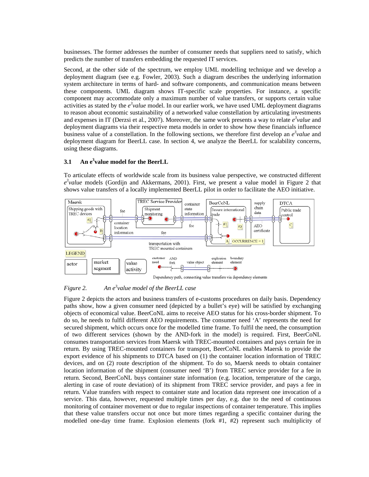businesses. The former addresses the number of consumer needs that suppliers need to satisfy, which predicts the number of transfers embedding the requested IT services.

Second, at the other side of the spectrum, we employ UML modelling technique and we develop a deployment diagram (see e.g. Fowler, 2003). Such a diagram describes the underlying information system architecture in terms of hard- and software components, and communication means between these components. UML diagram shows IT-specific scale properties. For instance, a specific component may accommodate only a maximum number of value transfers, or supports certain value activities as stated by the  $e^3$  *value* model. In our earlier work, we have used UML deployment diagrams to reason about economic sustainability of a networked value constellation by articulating investments and expenses in IT (Derzsi et al., 2007). Moreover, the same work presents a way to relate  $e^3$ *value* and deployment diagrams via their respective meta models in order to show how these financials influence business value of a constellation. In the following sections, we therefore first develop an  $e^3$  *value* and deployment diagram for BeerLL case. In section 4, we analyze the BeerLL for scalability concerns, using these diagrams.

#### **3.1 An e3 value model for the BeerLL**

To articulate effects of worldwide scale from its business value perspective, we constructed different  $e^3$ value models (Gordijn and Akkermans, 2001). First, we present a value model in Figure 2 that shows value transfers of a locally implemented BeerLL pilot in order to facilitate the AEO initiative.



*Figure 2. value model of the BeerLL case* 

Figure 2 depicts the actors and business transfers of e-customs procedures on daily basis. Dependency paths show, how a given consumer need (depicted by a bullet's eye) will be satisfied by exchanging objects of economical value. BeerCoNL aims to receive AEO status for his cross-border shipment. To do so, he needs to fulfil different AEO requirements. The consumer need 'A' represents the need for secured shipment, which occurs once for the modelled time frame. To fulfil the need, the consumption of two different services (shown by the AND-fork in the model) is required. First, BeerCoNL consumes transportation services from Maersk with TREC-mounted containers and pays certain fee in return. By using TREC-mounted containers for transport, BeerCoNL enables Maersk to provide the export evidence of his shipments to DTCA based on (1) the container location information of TREC devices, and on (2) route description of the shipment. To do so, Maersk needs to obtain container location information of the shipment (consumer need 'B') from TREC service provider for a fee in return. Second, BeerCoNL buys container state information (e.g. location, temperature of the cargo, alerting in case of route deviation) of its shipment from TREC service provider, and pays a fee in return. Value transfers with respect to container state and location data represent one invocation of a service. This data, however, requested multiple times per day, e.g. due to the need of continuous monitoring of container movement or due to regular inspections of container temperature. This implies that these value transfers occur not once but more times regarding a specific container during the modelled one-day time frame. Explosion elements (fork #1, #2) represent such multiplicity of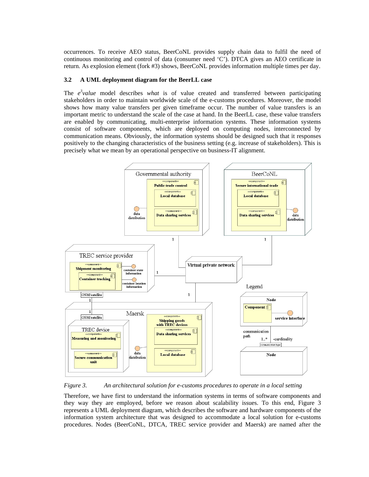occurrences. To receive AEO status, BeerCoNL provides supply chain data to fulfil the need of continuous monitoring and control of data (consumer need 'C'). DTCA gives an AEO certificate in return. As explosion element (fork #3) shows, BeerCoNL provides information multiple times per day.

#### **3.2 A UML deployment diagram for the BeerLL case**

The  $e^3$ *value* model describes *what* is of value created and transferred between participating stakeholders in order to maintain worldwide scale of the e-customs procedures. Moreover, the model shows how many value transfers per given timeframe occur. The number of value transfers is an important metric to understand the scale of the case at hand. In the BeerLL case, these value transfers are enabled by communicating, multi-enterprise information systems. These information systems consist of software components, which are deployed on computing nodes, interconnected by communication means. Obviously, the information systems should be designed such that it responses positively to the changing characteristics of the business setting (e.g. increase of stakeholders). This is precisely what we mean by an operational perspective on business-IT alignment.



*Figure 3. An architectural solution for e-customs procedures to operate in a local setting* 

Therefore, we have first to understand the information systems in terms of software components and they way they are employed, before we reason about scalability issues. To this end, Figure 3 represents a UML deployment diagram, which describes the software and hardware components of the information system architecture that was designed to accommodate a local solution for e-customs procedures. Nodes (BeerCoNL, DTCA, TREC service provider and Maersk) are named after the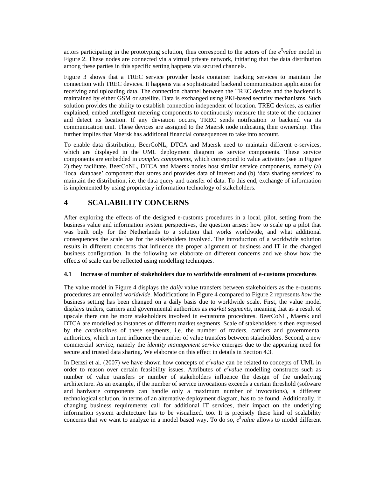actors participating in the prototyping solution, thus correspond to the actors of the  $e^3$  *value* model in Figure 2. These nodes are connected via a virtual private network, initiating that the data distribution among these parties in this specific setting happens via secured channels.

Figure 3 shows that a TREC service provider hosts container tracking services to maintain the connection with TREC devices. It happens via a sophisticated backend communication application for receiving and uploading data. The connection channel between the TREC devices and the backend is maintained by either GSM or satellite. Data is exchanged using PKI-based security mechanisms. Such solution provides the ability to establish connection independent of location. TREC devices, as earlier explained, embed intelligent metering components to continuously measure the state of the container and detect its location. If any deviation occurs, TREC sends notification to backend via its communication unit. These devices are assigned to the Maersk node indicating their ownership. This further implies that Maersk has additional financial consequences to take into account.

To enable data distribution, BeerCoNL, DTCA and Maersk need to maintain different e-services, which are displayed in the UML deployment diagram as service components. These service components are embedded in *complex components,* which correspond to value activities (see in Figure 2) they facilitate. BeerCoNL, DTCA and Maersk nodes host similar service components, namely (a) 'local database' component that stores and provides data of interest and (b) 'data sharing services' to maintain the distribution, i.e. the data query and transfer of data. To this end, exchange of information is implemented by using proprietary information technology of stakeholders.

# **4 SCALABILITY CONCERNS**

After exploring the effects of the designed e-customs procedures in a local, pilot, setting from the business value and information system perspectives, the question arises: how to scale up a pilot that was built only for the Netherlands to a solution that works worldwide, and what additional consequences the scale has for the stakeholders involved. The introduction of a worldwide solution results in different concerns that influence the proper alignment of business and IT in the changed business configuration. In the following we elaborate on different concerns and we show how the effects of scale can be reflected using modelling techniques.

#### **4.1 Increase of number of stakeholders due to worldwide enrolment of e-customs procedures**

The value model in Figure 4 displays the *daily* value transfers between stakeholders as the e-customs procedures are enrolled *worldwide*. Modifications in Figure 4 compared to Figure 2 represents *how* the business setting has been changed on a daily basis due to worldwide scale. First, the value model displays traders, carriers and governmental authorities as *market segments*, meaning that as a result of upscale there can be more stakeholders involved in e-customs procedures. BeerCoNL, Maersk and DTCA are modelled as instances of different market segments. Scale of stakeholders is then expressed by the *cardinalities* of these segments, i.e. the number of traders, carriers and governmental authorities, which in turn influence the number of value transfers between stakeholders. Second, a new commercial service, namely the *identity management service* emerges due to the appearing need for secure and trusted data sharing. We elaborate on this effect in details in Section 4.3.

In Derzsi et al. (2007) we have shown how concepts of  $e^3$ *value* can be related to concepts of UML in order to reason over certain feasibility issues. Attributes of  $e^3$  *value* modelling constructs such as number of value transfers or number of stakeholders influence the design of the underlying architecture. As an example, if the number of service invocations exceeds a certain threshold (software and hardware components can handle only a maximum number of invocations), a different technological solution, in terms of an alternative deployment diagram, has to be found. Additionally, if changing business requirements call for additional IT services, their impact on the underlying information system architecture has to be visualized, too. It is precisely these kind of scalability concerns that we want to analyze in a model based way. To do so,  $e^3$  *value* allows to model different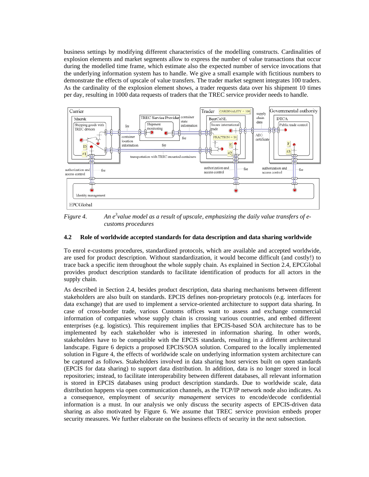business settings by modifying different characteristics of the modelling constructs. Cardinalities of explosion elements and market segments allow to express the number of value transactions that occur during the modelled time frame, which estimate also the expected number of service invocations that the underlying information system has to handle. We give a small example with fictitious numbers to demonstrate the effects of upscale of value transfers. The trader market segment integrates 100 traders. As the cardinality of the explosion element shows, a trader requests data over his shipment 10 times per day, resulting in 1000 data requests of traders that the TREC service provider needs to handle.



*Figure 4.* An e<sup>3</sup> value model as a result of upscale, emphasizing the daily value transfers of e*customs procedures* 

#### **4.2 Role of worldwide accepted standards for data description and data sharing worldwide**

To enrol e-customs procedures, standardized protocols, which are available and accepted worldwide, are used for product description. Without standardization, it would become difficult (and costly!) to trace back a specific item throughout the whole supply chain. As explained in Section 2.4, EPCGlobal provides product description standards to facilitate identification of products for all actors in the supply chain.

As described in Section 2.4, besides product description, data sharing mechanisms between different stakeholders are also built on standards. EPCIS defines non-proprietary protocols (e.g. interfaces for data exchange) that are used to implement a service-oriented architecture to support data sharing. In case of cross-border trade, various Customs offices want to assess and exchange commercial information of companies whose supply chain is crossing various countries, and embed different enterprises (e.g. logistics). This requirement implies that EPCIS-based SOA architecture has to be implemented by each stakeholder who is interested in information sharing. In other words, stakeholders have to be compatible with the EPCIS standards, resulting in a different architectural landscape. Figure 6 depicts a proposed EPCIS/SOA solution. Compared to the locally implemented solution in Figure 4, the effects of worldwide scale on underlying information system architecture can be captured as follows. Stakeholders involved in data sharing host services built on open standards (EPCIS for data sharing) to support data distribution. In addition, data is no longer stored in local repositories; instead, to facilitate interoperability between different databases, all relevant information is stored in EPCIS databases using product description standards. Due to worldwide scale, data distribution happens via open communication channels, as the TCP/IP network node also indicates. As a consequence, employment of *security management* services to encode/decode confidential information is a must. In our analysis we only discuss the security aspects of EPCIS-driven data sharing as also motivated by Figure 6. We assume that TREC service provision embeds proper security measures. We further elaborate on the business effects of security in the next subsection.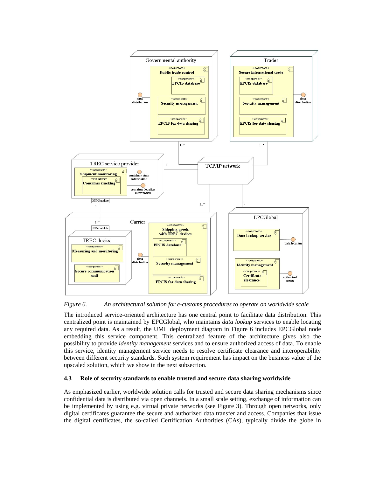

*Figure 6. An architectural solution for e-customs procedures to operate on worldwide scale* 

The introduced service-oriented architecture has one central point to facilitate data distribution. This centralized point is maintained by EPCGlobal, who maintains *data lookup* services to enable locating any required data. As a result, the UML deployment diagram in Figure 6 includes EPCGlobal node embedding this service component. This centralized feature of the architecture gives also the possibility to provide *identity management* services and to ensure authorized access of data. To enable this service, identity management service needs to resolve certificate clearance and interoperability between different security standards. Such system requirement has impact on the business value of the upscaled solution, which we show in the next subsection.

#### **4.3 Role of security standards to enable trusted and secure data sharing worldwide**

As emphasized earlier, worldwide solution calls for trusted and secure data sharing mechanisms since confidential data is distributed via open channels. In a small scale setting, exchange of information can be implemented by using e.g. virtual private networks (see Figure 3). Through open networks, only digital certificates guarantee the secure and authorized data transfer and access. Companies that issue the digital certificates, the so-called Certification Authorities (CAs), typically divide the globe in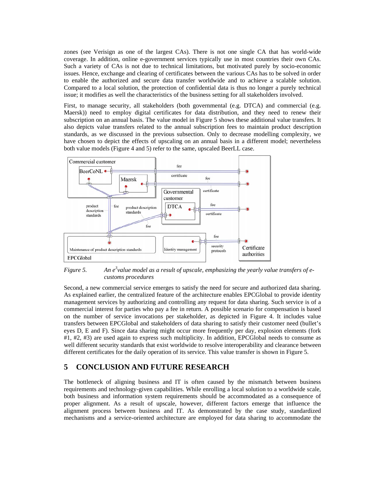zones (see Verisign as one of the largest CAs). There is not one single CA that has world-wide coverage. In addition, online e-government services typically use in most countries their own CAs. Such a variety of CAs is not due to technical limitations, but motivated purely by socio-economic issues. Hence, exchange and clearing of certificates between the various CAs has to be solved in order to enable the authorized and secure data transfer worldwide and to achieve a scalable solution. Compared to a local solution, the protection of confidential data is thus no longer a purely technical issue; it modifies as well the characteristics of the business setting for all stakeholders involved.

First, to manage security, all stakeholders (both governmental (e.g. DTCA) and commercial (e.g. Maersk)) need to employ digital certificates for data distribution, and they need to renew their subscription on an annual basis. The value model in Figure 5 shows these additional value transfers. It also depicts value transfers related to the annual subscription fees to maintain product description standards, as we discussed in the previous subsection. Only to decrease modelling complexity, we have chosen to depict the effects of upscaling on an annual basis in a different model; nevertheless both value models (Figure 4 and 5) refer to the same, upscaled BeerLL case.



*Figure 5.* An e<sup>3</sup> value model as a result of upscale, emphasizing the yearly value transfers of e*customs procedures* 

Second, a new commercial service emerges to satisfy the need for secure and authorized data sharing. As explained earlier, the centralized feature of the architecture enables EPCGlobal to provide identity management services by authorizing and controlling any request for data sharing. Such service is of a commercial interest for parties who pay a fee in return. A possible scenario for compensation is based on the number of service invocations per stakeholder, as depicted in Figure 4. It includes value transfers between EPCGlobal and stakeholders of data sharing to satisfy their customer need (bullet's eyes D, E and F). Since data sharing might occur more frequently per day, explosion elements (fork #1, #2, #3) are used again to express such multiplicity. In addition, EPCGlobal needs to consume as well different security standards that exist worldwide to resolve interoperability and clearance between different certificates for the daily operation of its service. This value transfer is shown in Figure 5.

### **5 CONCLUSION AND FUTURE RESEARCH**

The bottleneck of aligning business and IT is often caused by the mismatch between business requirements and technology-given capabilities. While enrolling a local solution to a worldwide scale, both business and information system requirements should be accommodated as a consequence of proper alignment. As a result of upscale, however, different factors emerge that influence the alignment process between business and IT. As demonstrated by the case study, standardized mechanisms and a service-oriented architecture are employed for data sharing to accommodate the